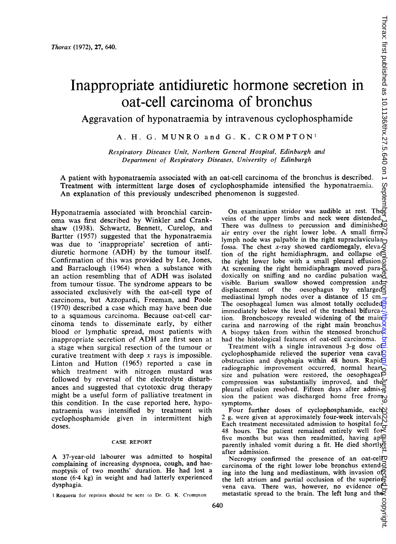## Inappropriate antidiuretic hormone secretion in oat-cell carcinoma of bronchus

Aggravation of hyponatraemia by intravenous cyclophosphamide

A. H. G. MUNRO and G. K. CROMPTON1

Respiratory Diseases Unit, Northern General Hospital, Edinburgh and Department of Respiratory Diseases, University of Edinburgh

A patient with hyponatraemia associated with an oat-cell carcinoma of the bronchus is described. Treatment with intermittent large doses of cyclophosphamide intensified the hyponatraemia. An explanation of this previously undescribed phenomenon is suggested.

Hyponatraemia associated with bronchial carcinoma was first described by Winkler and Crankshaw (1938). Schwartz, Bennett, Curelop, and Bartter (1957) suggested that the hyponatraemia was due to 'inappropriate' secretion of antidiuretic hormone (ADH) by the tumour itself. Confirmation of this was provided by Lee, Jones, and Barraclough (1964) when a substance with an action resembling that of ADH was isolated from tumour tissue. The syndrome appears to be associated exclusively with the oat-cell type of carcinoma, but Azzopardi, Freeman, and Poole (1970) described a case which may have been due to a squamous carcinoma. Because oat-cell carcinoma tends to disseminate early, by either blood or lymphatic spread, most patients with inappropriate secretion of ADH are first seen at a stage when surgical resection of the tumour or curative treatment with deep  $x$  rays is impossible. Linton and Hutton (1965) reported a case in which treatment with nitrogen mustard was followed by reversal of the electrolyte disturbances and suggested that cytotoxic drug therapy might be a useful form of palliative treatment in this condition. In the case reported here, hyponatraemia was intensified by treatment with cyclophosphamide given in intermittent high doses.

## CASE REPORT

A 37-year-old labourer was admitted to hospital complaining of increasing dyspnoea, cough, and haemoptysis of two months' duration. He had lost <sup>a</sup> stone (6-4 kg) in weight and had latterly experienced dysphagia.

640

On examination stridor was audible at rest. The veins of the upper limbs and neck were distended. There was dullness to percussion and diminished $\overline{\mathbb{Q}}$ air entry over the right lower lobe. A small firm lymph node was palpable in the right supraclavicular $\Box$ fossa. The chest  $x$ -ray showed cardiomegaly, elevation of the right hemidiaphragm, and collapse of the right lower lobe with a small pleural effusion. $\overline{Q}$ At screening the right hemidiaphragm moved para- $\ddot{\circ}$ doxically on sniffing and no cardiac pulsation was<sup>®</sup> visible. Barium swallow showed compression and displacement of the oesophagus by enlarged<sup>2</sup> mediastinal lymph nodes over a distance of 15 cm. The oesophageal lumen was almost totally occluded immediately below the level of the tracheal bifurcation. Bronchoscopy revealed widening of the main $\overrightarrow{f}$ carina and narrowing of the right main bronchus. A biopsy taken from within the stenosed bronchus had the histological features of oat-cell carcinoma.  $\overline{Q}$ 

Treatment with a single intravenous 3-g dose of. cyclophosphamide relieved the superior vena caval obstruction and dysphagia within 48 hours. Rapid radiographic improvement occurred, normal heart size and pulsation were restored, the oesophageal compression was substantially improved, and the pleural effusion resolved. Fifteen days after admis $\frac{1}{6}$ sion the patient was discharged home free from symptoms.

Four further doses of cyclophosphamide, each Pour futurely doses of symphone and the intervals<br>2 g, were given at approximately four-week intervals, Each treatment necessitated admission to hospital for 48 hours. The patient remained entirely well for five months but was then readmitted, having ap $\mathfrak{P}$ parently inhaled vomit during a fit. He died shortlyon after admission.

Necropsy confirmed the presence of an oat-cell $\sigma$ carcinoma of the right lower lobe bronchus extend $\vec{Q}$ ing into the lung and mediastinum, with invasion off the left atrium and partial occlusion of the superiorvena cava. There was, however, no evidence of metastatic spread to the brain. The left lung and the

<sup>I</sup> Requests for reprints should be sent to Dr. G. K. Crompton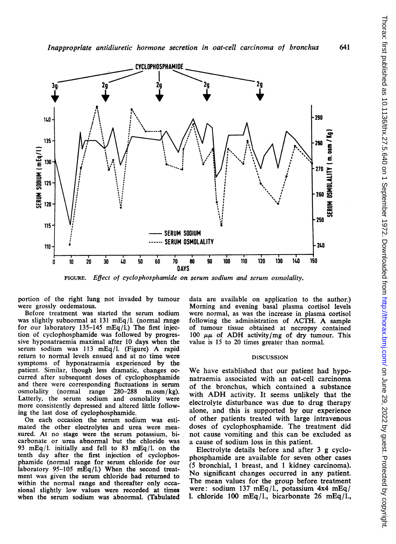

FIGURE. Effect of cyclophosphamide on serum sodium and serum osmolality.

portion of the right lung not invaded by tumour were grossly oedematous.

Before treatment was started the serum sodium was slightly subnormal at 131 mEq/l. (normal range for our laboratory 135-145 mEq/l.) The first injection of cyclophosphamide was followed by progressive hyponatraemia maximal after 10 days when the serum sodium was <sup>113</sup> mEq/l. (Figure) A rapid return to normal levels ensued and at no time were symptoms of hyponatraemia experienced by the patient. Similar, though less dramatic, changes occurred after subsequent doses of cyclophosphamide and there were corresponding fluctuations in serum osmolality (normal range 280-288 m.osm/kg). osmolality (normal range 280-288 m.osm/kg).<br>Latterly, the serum sodium and osmolality were more consistently depressed and altered little following the last dose of cyclophosphamide.

On each occasion the serum sodium was estimated the other electrolytes and urea were measured. At no stage were the serum potassium, bicarbonate or urea abnormal but the chloride was 93 mEq/1. initially and fell to 83 mEq/1. on the tenth day after the first injection of cyclophosphamide (normal range for serum chloride for our laboratory 95-105 mEq/l.) When the second treatment was given the serum chloride had returned to within the normal range and thereafter only occasional slightly low values were recorded at times when the serum sodium was abnormal. (Tabulated

data are available on application to the author.) Morning and evening basal plasma cortisol levels were normal, as was the increase in plasma cortisol following the administration of ACTH. A sample of tumour tissue obtained at necropsy contained 100  $\mu\mu$  of ADH activity/mg of dry tumour. This value is 15 to 20 times greater than normal.

## DISCUSSION

We have established that our patient had hyponatraemia associated with an oat-cell carcinoma of the bronchus, which contained a substance with ADH activity. It seems unlikely that the electrolyte disturbance was due to drug therapy alone, and this is supported by our experience of other patients treated with large intravenous doses of cyclophosphamide. The treatment did not cause vomiting and this can be excluded as a cause of sodium loss in this patient.

Electrolyte details before and after 3 g cyclophosphamide are available for seven other cases (5 bronchial, <sup>1</sup> breast, and <sup>1</sup> kidney carcinoma). No significant changes occurred in any patient. The mean values for the group before treatment were: sodium 137 mEq/l., potassium 4x4 mEq/ 1. chloride 100 mEq/l., bicarbonate 26 mEq/l.,